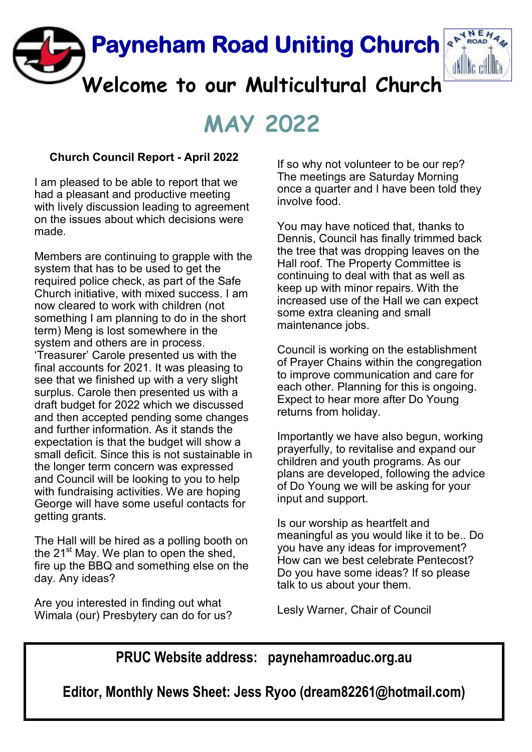

# **MAY 2022**

## **Church Council Report - April 2022**

I am pleased to be able to report that we had a pleasant and productive meeting with lively discussion leading to agreement on the issues about which decisions were made.

Members are continuing to grapple with the system that has to be used to get the required police check, as part of the Safe Church initiative, with mixed success. I am now cleared to work with children (not something I am planning to do in the short term) Meng is lost somewhere in the system and others are in process. 'Treasurer' Carole presented us with the final accounts for 2021. It was pleasing to see that we finished up with a very slight surplus. Carole then presented us with a draft budget for 2022 which we discussed and then accepted pending some changes and further information. As it stands the expectation is that the budget will show a small deficit. Since this is not sustainable in the longer term concern was expressed and Council will be looking to you to help with fundraising activities. We are hoping George will have some useful contacts for getting grants.

The Hall will be hired as a polling booth on the 21<sup>st</sup> May. We plan to open the shed. fire up the BBQ and something else on the day. Any ideas?

Are you interested in finding out what Wimala (our) Presbytery can do for us? If so why not volunteer to be our rep? The meetings are Saturday Morning once a quarter and I have been told they involve food.

You may have noticed that, thanks to Dennis, Council has finally trimmed back the tree that was dropping leaves on the Hall roof. The Property Committee is continuing to deal with that as well as keep up with minor repairs. With the increased use of the Hall we can expect some extra cleaning and small maintenance jobs.

Council is working on the establishment of Prayer Chains within the congregation to improve communication and care for each other. Planning for this is ongoing. Expect to hear more after Do Young returns from holiday.

Importantly we have also begun, working prayerfully, to revitalise and expand our children and youth programs. As our plans are developed, following the advice of Do Young we will be asking for your input and support.

Is our worship as heartfelt and meaningful as you would like it to be.. Do you have any ideas for improvement? How can we best celebrate Pentecost? Do you have some ideas? If so please talk to us about your them.

Lesly Warner, Chair of Council

**PRUC Website address: paynehamroaduc.org.au**

**Editor, Monthly News Sheet: Jess Ryoo (dream82261@hotmail.com)**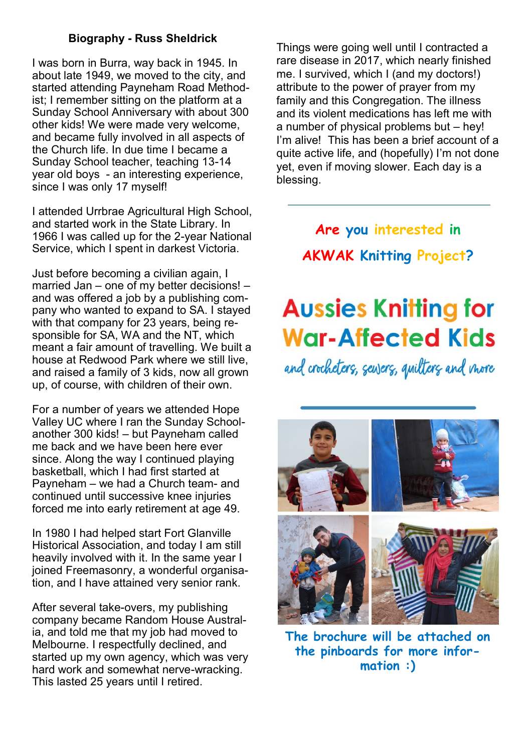## **Biography - Russ Sheldrick**

I was born in Burra, way back in 1945. In about late 1949, we moved to the city, and started attending Payneham Road Methodist; I remember sitting on the platform at a Sunday School Anniversary with about 300 other kids! We were made very welcome, and became fully involved in all aspects of the Church life. In due time I became a Sunday School teacher, teaching 13-14 year old boys - an interesting experience, since I was only 17 myself!

I attended Urrbrae Agricultural High School, and started work in the State Library. In 1966 I was called up for the 2-year National Service, which I spent in darkest Victoria.

Just before becoming a civilian again, I married Jan – one of my better decisions! – and was offered a job by a publishing company who wanted to expand to SA. I stayed with that company for 23 years, being responsible for SA, WA and the NT, which meant a fair amount of travelling. We built a house at Redwood Park where we still live, and raised a family of 3 kids, now all grown up, of course, with children of their own.

For a number of years we attended Hope Valley UC where I ran the Sunday Schoolanother 300 kids! – but Payneham called me back and we have been here ever since. Along the way I continued playing basketball, which I had first started at Payneham – we had a Church team- and continued until successive knee injuries forced me into early retirement at age 49.

In 1980 I had helped start Fort Glanville Historical Association, and today I am still heavily involved with it. In the same year I joined Freemasonry, a wonderful organisation, and I have attained very senior rank.

After several take-overs, my publishing company became Random House Australia, and told me that my job had moved to Melbourne. I respectfully declined, and started up my own agency, which was very hard work and somewhat nerve-wracking. This lasted 25 years until I retired.

Things were going well until I contracted a rare disease in 2017, which nearly finished me. I survived, which I (and my doctors!) attribute to the power of prayer from my family and this Congregation. The illness and its violent medications has left me with a number of physical problems but – hey! I'm alive! This has been a brief account of a quite active life, and (hopefully) I'm not done yet, even if moving slower. Each day is a blessing.

## **Are you interested in AKWAK Knitting Project?**

# **Aussies Knitting for War-Affected Kids**

and crocheters, sewers, quilters and more



**The brochure will be attached on the pinboards for more information :)**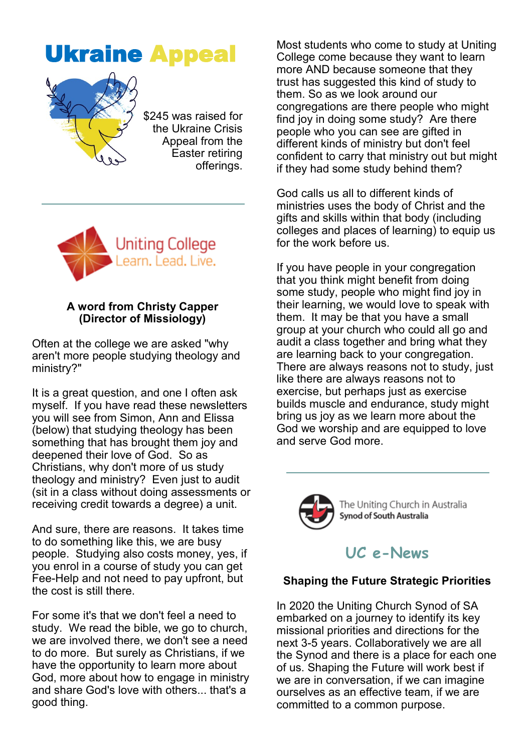



\$245 was raised for the Ukraine Crisis Appeal from the Easter retiring offerings.



#### **A word from Christy Capper (Director of Missiology)**

Often at the college we are asked "why aren't more people studying theology and ministry?"

It is a great question, and one I often ask myself. If you have read these newsletters you will see from Simon, Ann and Elissa (below) that studying theology has been something that has brought them joy and deepened their love of God. So as Christians, why don't more of us study theology and ministry? Even just to audit (sit in a class without doing assessments or receiving credit towards a degree) a unit.

And sure, there are reasons. It takes time to do something like this, we are busy people. Studying also costs money, yes, if you enrol in a course of study you can get Fee-Help and not need to pay upfront, but the cost is still there.

For some it's that we don't feel a need to study. We read the bible, we go to church. we are involved there, we don't see a need to do more. But surely as Christians, if we have the opportunity to learn more about God, more about how to engage in ministry and share God's love with others... that's a good thing.

Most students who come to study at Uniting College come because they want to learn more AND because someone that they trust has suggested this kind of study to them. So as we look around our congregations are there people who might find joy in doing some study? Are there people who you can see are gifted in different kinds of ministry but don't feel confident to carry that ministry out but might if they had some study behind them?

God calls us all to different kinds of ministries uses the body of Christ and the gifts and skills within that body (including colleges and places of learning) to equip us for the work before us.

If you have people in your congregation that you think might benefit from doing some study, people who might find joy in their learning, we would love to speak with them. It may be that you have a small group at your church who could all go and audit a class together and bring what they are learning back to your congregation. There are always reasons not to study, just like there are always reasons not to exercise, but perhaps just as exercise builds muscle and endurance, study might bring us joy as we learn more about the God we worship and are equipped to love and serve God more.



## **UC e-News**

## **Shaping the Future Strategic Priorities**

In 2020 the Uniting Church Synod of SA embarked on a journey to identify its key missional priorities and directions for the next 3-5 years. Collaboratively we are all the Synod and there is a place for each one of us. Shaping the Future will work best if we are in conversation, if we can imagine ourselves as an effective team, if we are committed to a common purpose.